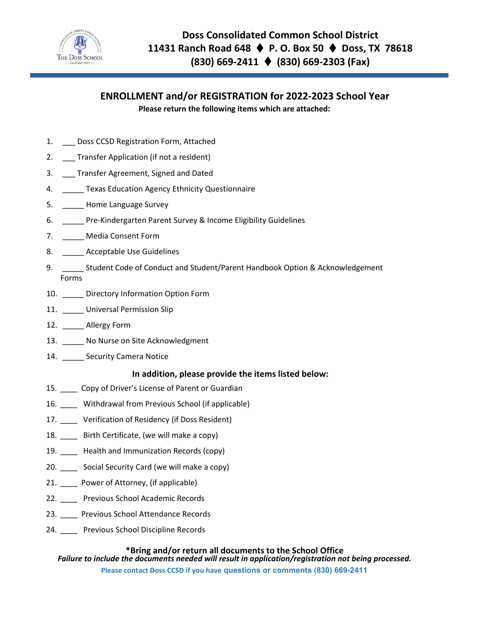

# **ENROLLMENT and/or REGISTRATION for 2022-2023 School Year Please return the following items which are attached:**

- 1. Doss CCSD Registration Form, Attached
- 2. \_\_\_ Transfer Application (if not a resident)
- 3. \_\_\_ Transfer Agreement, Signed and Dated
- 4. **\_\_\_\_\_ Texas Education Agency Ethnicity Questionnaire**
- 5. \_\_\_\_\_ Home Language Survey
- 6. \_\_\_\_\_ Pre-Kindergarten Parent Survey & Income Eligibility Guidelines
- 7. \_\_\_\_\_ Media Consent Form
- 8. \_\_\_\_\_\_ Acceptable Use Guidelines
- 9. \_\_\_\_\_\_ Student Code of Conduct and Student/Parent Handbook Option & Acknowledgement Forms
- 10. Directory Information Option Form
- 11. \_\_\_\_\_ Universal Permission Slip
- 12. \_\_\_\_\_\_ Allergy Form
- 13. \_\_\_\_\_ No Nurse on Site Acknowledgment
- 14. \_\_\_\_\_ Security Camera Notice

### **In addition, please provide the items listed below:**

- 15. Copy of Driver's License of Parent or Guardian
- 16. Withdrawal from Previous School (if applicable)
- 17. Verification of Residency (if Doss Resident)
- 18. Birth Certificate, (we will make a copy)
- 19. Health and Immunization Records (copy)
- 20. \_\_\_\_ Social Security Card (we will make a copy)
- 21. \_\_\_\_ Power of Attorney, (if applicable)
- 22. \_\_\_\_ Previous School Academic Records
- 23. \_\_\_\_ Previous School Attendance Records
- 24. \_\_\_\_\_ Previous School Discipline Records

#### **\*Bring and/or return all documents to the School Office**

*Failure to include the documents needed will result in application/registration not being processed.* **Please contact Doss CCSD if you have questions or comments (830) 669-2411**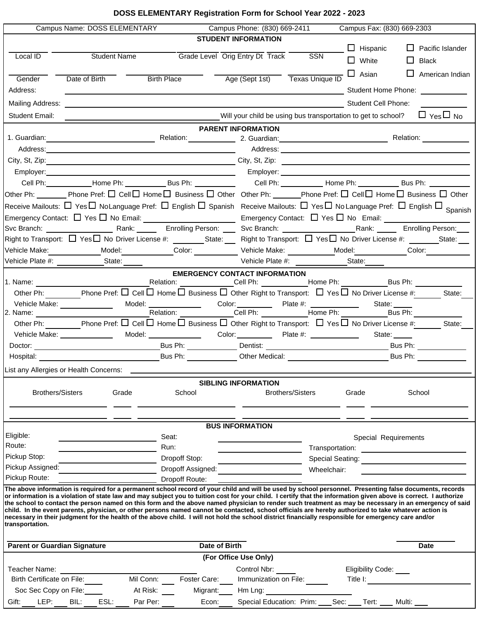# **DOSS ELEMENTARY Registration Form for School Year 2022 - 2023**

|                                     | Campus Name: DOSS ELEMENTARY                    |                       |                   | Campus Phone: (830) 669-2411                                                                                                                          |                         | Campus Fax: (830) 669-2303                                    |                                                                                                                                                                                                                                                                                                                             |
|-------------------------------------|-------------------------------------------------|-----------------------|-------------------|-------------------------------------------------------------------------------------------------------------------------------------------------------|-------------------------|---------------------------------------------------------------|-----------------------------------------------------------------------------------------------------------------------------------------------------------------------------------------------------------------------------------------------------------------------------------------------------------------------------|
|                                     |                                                 |                       |                   | <b>STUDENT INFORMATION</b>                                                                                                                            |                         |                                                               |                                                                                                                                                                                                                                                                                                                             |
|                                     |                                                 |                       |                   |                                                                                                                                                       |                         | $\Box$ Hispanic                                               | ⊔<br>Pacific Islander                                                                                                                                                                                                                                                                                                       |
| Local ID                            | <b>Student Name</b>                             |                       |                   | Grade Level Orig Entry Dt Track SSN                                                                                                                   |                         | $\Box$ White                                                  | ப<br><b>Black</b>                                                                                                                                                                                                                                                                                                           |
|                                     |                                                 |                       |                   |                                                                                                                                                       |                         | $\Box$ Asian                                                  | L.<br>American Indian                                                                                                                                                                                                                                                                                                       |
| Gender                              | Date of Birth                                   | <b>Birth Place</b>    |                   | Age (Sept 1st) Texas Unique ID                                                                                                                        |                         |                                                               |                                                                                                                                                                                                                                                                                                                             |
| Address:                            |                                                 |                       |                   |                                                                                                                                                       |                         |                                                               |                                                                                                                                                                                                                                                                                                                             |
| Mailing Address:                    |                                                 |                       |                   |                                                                                                                                                       |                         | Student Cell Phone:                                           |                                                                                                                                                                                                                                                                                                                             |
| Student Email:                      |                                                 |                       |                   | Will your child be using bus transportation to get to school?                                                                                         |                         |                                                               | $\Box$ Yes $\Box$ No                                                                                                                                                                                                                                                                                                        |
|                                     |                                                 |                       |                   | <b>PARENT INFORMATION</b>                                                                                                                             |                         |                                                               |                                                                                                                                                                                                                                                                                                                             |
|                                     |                                                 |                       |                   |                                                                                                                                                       |                         |                                                               |                                                                                                                                                                                                                                                                                                                             |
|                                     |                                                 |                       |                   |                                                                                                                                                       |                         |                                                               |                                                                                                                                                                                                                                                                                                                             |
|                                     |                                                 |                       |                   |                                                                                                                                                       |                         |                                                               | City, St, Zip: 2010. 2010. 2010. 2010. 2010. 2010. 2010. 2010. 2010. 2010. 2010. 2010. 2010. 2010. 2010. 2010                                                                                                                                                                                                               |
|                                     |                                                 |                       |                   |                                                                                                                                                       |                         |                                                               |                                                                                                                                                                                                                                                                                                                             |
|                                     |                                                 |                       |                   |                                                                                                                                                       |                         |                                                               | Cell Ph: __________Home Ph: __________Bus Ph: __________  Cell Ph: __________Home Ph: __________Bus Ph: ______                                                                                                                                                                                                              |
|                                     |                                                 |                       |                   |                                                                                                                                                       |                         |                                                               | Other Ph: ________ Phone Pref: $\Box$ Cell $\Box$ Home $\Box$ Business $\Box$ Other Other Ph: _______Phone Pref: $\Box$ Cell $\Box$ Home $\Box$ Business $\Box$ Other                                                                                                                                                       |
|                                     |                                                 |                       |                   |                                                                                                                                                       |                         |                                                               | Receive Mailouts: ロ Yesロ NoLanguage Pref: ロ English ロ Spanish Receive Mailouts: ロ Yesロ No Language Pref: ロ English ロ <sub>Spanish</sub>                                                                                                                                                                                     |
|                                     |                                                 |                       |                   |                                                                                                                                                       |                         |                                                               |                                                                                                                                                                                                                                                                                                                             |
|                                     |                                                 |                       |                   | Svc Branch: <u>_______________</u> Rank: ________ Enrolling Person: _____ Svc Branch: ________________________Rank: ______                            |                         |                                                               | Enrolling Person:                                                                                                                                                                                                                                                                                                           |
|                                     |                                                 |                       |                   |                                                                                                                                                       |                         |                                                               | Right to Transport: $\Box$ Yes $\Box$ No Driver License #: _______State: ____ Right to Transport: $\Box$ Yes $\Box$ No Driver License #: _______State: __                                                                                                                                                                   |
|                                     |                                                 |                       |                   |                                                                                                                                                       |                         |                                                               | Vehicle Make:______________Model:_____________Color: ____________Vehicle Make: ___________Model:___________Color:___________                                                                                                                                                                                                |
|                                     |                                                 |                       |                   |                                                                                                                                                       |                         |                                                               | Vehicle Plate #: State: State: Change of the Medical State:                                                                                                                                                                                                                                                                 |
|                                     |                                                 |                       |                   | <b>EMERGENCY CONTACT INFORMATION</b>                                                                                                                  |                         |                                                               |                                                                                                                                                                                                                                                                                                                             |
|                                     |                                                 |                       |                   |                                                                                                                                                       |                         |                                                               |                                                                                                                                                                                                                                                                                                                             |
|                                     |                                                 |                       |                   | Other Ph: Phone Pref: $\Box$ Cell $\Box$ Home $\Box$ Business $\Box$ Other Right to Transport: $\Box$ Yes $\Box$ No Driver License #:                 |                         |                                                               | State:                                                                                                                                                                                                                                                                                                                      |
| 2. Name:                            | Vehicle Make: ______________                    |                       |                   |                                                                                                                                                       |                         | State: _____                                                  | Bus Ph: $\qquad \qquad \_$                                                                                                                                                                                                                                                                                                  |
|                                     |                                                 |                       |                   | Other Ph: Phone Pref: $\Box$ Cell $\Box$ Home $\Box$ Business $\Box$ Other Right to Transport: $\Box$ Yes $\Box$ No Driver License #:                 |                         |                                                               | State:                                                                                                                                                                                                                                                                                                                      |
|                                     | Vehicle Make: ______________                    | Model: ______________ |                   |                                                                                                                                                       |                         |                                                               | State: _____                                                                                                                                                                                                                                                                                                                |
|                                     |                                                 |                       |                   |                                                                                                                                                       |                         |                                                               | Bus Ph: $\qquad \qquad \qquad$                                                                                                                                                                                                                                                                                              |
|                                     |                                                 |                       |                   |                                                                                                                                                       |                         |                                                               | Bus Ph:                                                                                                                                                                                                                                                                                                                     |
|                                     | List any Allergies or Health Concerns: ________ |                       |                   |                                                                                                                                                       |                         |                                                               |                                                                                                                                                                                                                                                                                                                             |
|                                     |                                                 |                       |                   |                                                                                                                                                       |                         |                                                               |                                                                                                                                                                                                                                                                                                                             |
| <b>Brothers/Sisters</b>             |                                                 | Grade                 | School            | <b>SIBLING INFORMATION</b>                                                                                                                            | <b>Brothers/Sisters</b> | Grade                                                         | School                                                                                                                                                                                                                                                                                                                      |
|                                     |                                                 |                       |                   |                                                                                                                                                       |                         |                                                               |                                                                                                                                                                                                                                                                                                                             |
|                                     |                                                 |                       |                   |                                                                                                                                                       |                         |                                                               |                                                                                                                                                                                                                                                                                                                             |
|                                     |                                                 |                       |                   | <b>BUS INFORMATION</b>                                                                                                                                |                         |                                                               |                                                                                                                                                                                                                                                                                                                             |
| Eligible:                           |                                                 | Seat:                 |                   |                                                                                                                                                       |                         | Special Requirements                                          |                                                                                                                                                                                                                                                                                                                             |
| Route:                              |                                                 | Run:                  |                   |                                                                                                                                                       |                         |                                                               |                                                                                                                                                                                                                                                                                                                             |
| Pickup Stop:                        |                                                 |                       | Dropoff Stop:     |                                                                                                                                                       |                         |                                                               |                                                                                                                                                                                                                                                                                                                             |
| Pickup Assigned:                    |                                                 |                       | Dropoff Assigned: |                                                                                                                                                       | Wheelchair:             |                                                               |                                                                                                                                                                                                                                                                                                                             |
| Pickup Route:                       |                                                 |                       | Dropoff Route:    |                                                                                                                                                       |                         |                                                               |                                                                                                                                                                                                                                                                                                                             |
|                                     |                                                 |                       |                   |                                                                                                                                                       |                         |                                                               | The above information is required for a permanent school record of your child and will be used by school personnel. Presenting false documents, records                                                                                                                                                                     |
|                                     |                                                 |                       |                   |                                                                                                                                                       |                         |                                                               | or information is a violation of state law and may subject you to tuition cost for your child. I certify that the information given above is correct. I authorize<br>the school to contact the person named on this form and the above named physician to render such treatment as may be necessary in an emergency of said |
|                                     |                                                 |                       |                   | child. In the event parents, physician, or other persons named cannot be contacted, school officials are hereby authorized to take whatever action is |                         |                                                               |                                                                                                                                                                                                                                                                                                                             |
| transportation.                     |                                                 |                       |                   | necessary in their judgment for the health of the above child. I will not hold the school district financially responsible for emergency care and/or  |                         |                                                               |                                                                                                                                                                                                                                                                                                                             |
|                                     |                                                 |                       |                   |                                                                                                                                                       |                         |                                                               |                                                                                                                                                                                                                                                                                                                             |
| <b>Parent or Guardian Signature</b> |                                                 |                       | Date of Birth     |                                                                                                                                                       |                         |                                                               | <b>Date</b>                                                                                                                                                                                                                                                                                                                 |
|                                     |                                                 |                       |                   | (For Office Use Only)                                                                                                                                 |                         |                                                               |                                                                                                                                                                                                                                                                                                                             |
| Teacher Name:                       |                                                 |                       |                   | Control Nbr:                                                                                                                                          |                         | Eligibility Code:                                             |                                                                                                                                                                                                                                                                                                                             |
| Birth Certificate on File:          |                                                 | Mil Conn:             | Foster Care:      | Immunization on File:                                                                                                                                 |                         | Title I: $\qquad \qquad$                                      |                                                                                                                                                                                                                                                                                                                             |
| Soc Sec Copy on File:               |                                                 | At Risk:              | Migrant:          | Hm Lng:                                                                                                                                               |                         |                                                               |                                                                                                                                                                                                                                                                                                                             |
| LEP:<br>Gift:                       | BIL: ESL:                                       | Par Per:              | Econ:             |                                                                                                                                                       |                         | Special Education: Prim: ____ Sec: ____ Tert: ____ Multi: ___ |                                                                                                                                                                                                                                                                                                                             |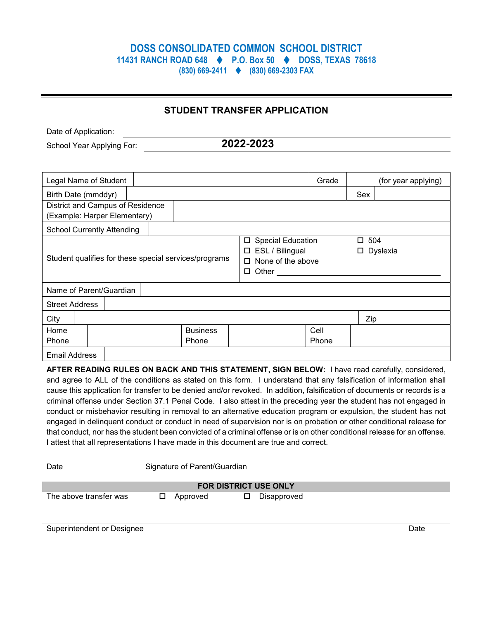# **DOSS CONSOLIDATED COMMON SCHOOL DISTRICT 11431 RANCH ROAD 648 P.O. Box 50 DOSS, TEXAS 78618**

**(830) 669-2411 (830) 669-2303 FAX**

### **STUDENT TRANSFER APPLICATION**

Date of Application:

School Year Applying For: **2022-2023**

|                                                                  | Legal Name of Student |  |                                                                                                    |  | Grade         |                 | (for year applying) |
|------------------------------------------------------------------|-----------------------|--|----------------------------------------------------------------------------------------------------|--|---------------|-----------------|---------------------|
| Birth Date (mmddyr)                                              |                       |  |                                                                                                    |  |               | <b>Sex</b>      |                     |
| District and Campus of Residence<br>(Example: Harper Elementary) |                       |  |                                                                                                    |  |               |                 |                     |
| <b>School Currently Attending</b>                                |                       |  |                                                                                                    |  |               |                 |                     |
| Student qualifies for these special services/programs            |                       |  | <b>Special Education</b><br>□<br>ESL / Bilingual<br>□<br>None of the above<br>П<br>Other<br>$\Box$ |  | □<br>□.       | 504<br>Dyslexia |                     |
| Name of Parent/Guardian                                          |                       |  |                                                                                                    |  |               |                 |                     |
| <b>Street Address</b>                                            |                       |  |                                                                                                    |  |               |                 |                     |
| City                                                             |                       |  |                                                                                                    |  |               | Zip             |                     |
| Home<br>Phone                                                    |                       |  | <b>Business</b><br>Phone                                                                           |  | Cell<br>Phone |                 |                     |
| <b>Email Address</b>                                             |                       |  |                                                                                                    |  |               |                 |                     |

**AFTER READING RULES ON BACK AND THIS STATEMENT, SIGN BELOW:** I have read carefully, considered, and agree to ALL of the conditions as stated on this form. I understand that any falsification of information shall cause this application for transfer to be denied and/or revoked. In addition, falsification of documents or records is a criminal offense under Section 37.1 Penal Code. I also attest in the preceding year the student has not engaged in conduct or misbehavior resulting in removal to an alternative education program or expulsion, the student has not engaged in delinquent conduct or conduct in need of supervision nor is on probation or other conditional release for that conduct, nor has the student been convicted of a criminal offense or is on other conditional release for an offense. I attest that all representations I have made in this document are true and correct.

| Date                         | Signature of Parent/Guardian |          |  |             |  |  |
|------------------------------|------------------------------|----------|--|-------------|--|--|
| <b>FOR DISTRICT USE ONLY</b> |                              |          |  |             |  |  |
| The above transfer was       |                              | Approved |  | Disapproved |  |  |

Superintendent or Designee Date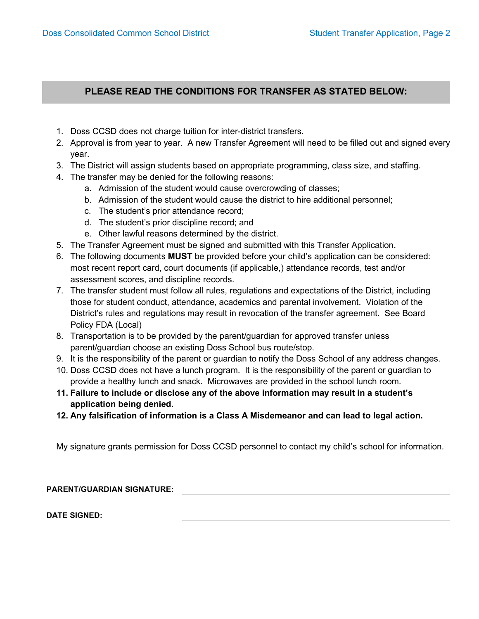### **PLEASE READ THE CONDITIONS FOR TRANSFER AS STATED BELOW:**

- 1. Doss CCSD does not charge tuition for inter-district transfers.
- 2. Approval is from year to year. A new Transfer Agreement will need to be filled out and signed every year.
- 3. The District will assign students based on appropriate programming, class size, and staffing.
- 4. The transfer may be denied for the following reasons:
	- a. Admission of the student would cause overcrowding of classes;
	- b. Admission of the student would cause the district to hire additional personnel;
	- c. The student's prior attendance record;
	- d. The student's prior discipline record; and
	- e. Other lawful reasons determined by the district.
- 5. The Transfer Agreement must be signed and submitted with this Transfer Application.
- 6. The following documents **MUST** be provided before your child's application can be considered: most recent report card, court documents (if applicable,) attendance records, test and/or assessment scores, and discipline records.
- 7. The transfer student must follow all rules, regulations and expectations of the District, including those for student conduct, attendance, academics and parental involvement. Violation of the District's rules and regulations may result in revocation of the transfer agreement. See Board Policy FDA (Local)
- 8. Transportation is to be provided by the parent/guardian for approved transfer unless parent/guardian choose an existing Doss School bus route/stop.
- 9. It is the responsibility of the parent or guardian to notify the Doss School of any address changes.
- 10. Doss CCSD does not have a lunch program. It is the responsibility of the parent or guardian to provide a healthy lunch and snack. Microwaves are provided in the school lunch room.
- **11. Failure to include or disclose any of the above information may result in a student's application being denied.**
- **12. Any falsification of information is a Class A Misdemeanor and can lead to legal action.**

My signature grants permission for Doss CCSD personnel to contact my child's school for information.

**PARENT/GUARDIAN SIGNATURE:**

**DATE SIGNED:**